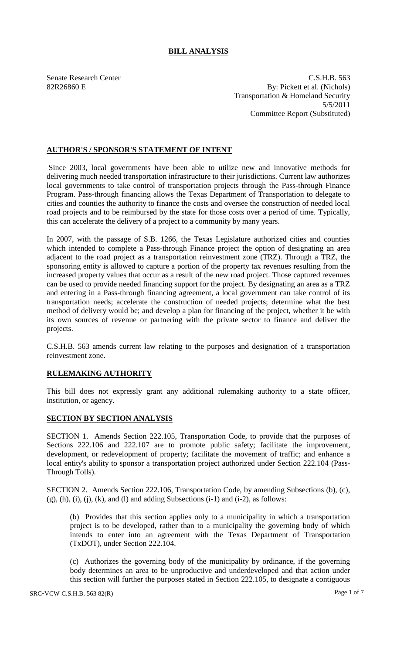## **BILL ANALYSIS**

Senate Research Center Cases and C.S.H.B. 563 82R26860 E By: Pickett et al. (Nichols) Transportation & Homeland Security 5/5/2011 Committee Report (Substituted)

## **AUTHOR'S / SPONSOR'S STATEMENT OF INTENT**

Since 2003, local governments have been able to utilize new and innovative methods for delivering much needed transportation infrastructure to their jurisdictions. Current law authorizes local governments to take control of transportation projects through the Pass-through Finance Program. Pass-through financing allows the Texas Department of Transportation to delegate to cities and counties the authority to finance the costs and oversee the construction of needed local road projects and to be reimbursed by the state for those costs over a period of time. Typically, this can accelerate the delivery of a project to a community by many years.

In 2007, with the passage of S.B. 1266, the Texas Legislature authorized cities and counties which intended to complete a Pass-through Finance project the option of designating an area adjacent to the road project as a transportation reinvestment zone (TRZ). Through a TRZ, the sponsoring entity is allowed to capture a portion of the property tax revenues resulting from the increased property values that occur as a result of the new road project. Those captured revenues can be used to provide needed financing support for the project. By designating an area as a TRZ and entering in a Pass-through financing agreement, a local government can take control of its transportation needs; accelerate the construction of needed projects; determine what the best method of delivery would be; and develop a plan for financing of the project, whether it be with its own sources of revenue or partnering with the private sector to finance and deliver the projects.

C.S.H.B. 563 amends current law relating to the purposes and designation of a transportation reinvestment zone.

## **RULEMAKING AUTHORITY**

This bill does not expressly grant any additional rulemaking authority to a state officer, institution, or agency.

## **SECTION BY SECTION ANALYSIS**

SECTION 1. Amends Section 222.105, Transportation Code, to provide that the purposes of Sections 222.106 and 222.107 are to promote public safety; facilitate the improvement, development, or redevelopment of property; facilitate the movement of traffic; and enhance a local entity's ability to sponsor a transportation project authorized under Section 222.104 (Pass-Through Tolls).

SECTION 2. Amends Section 222.106, Transportation Code, by amending Subsections (b), (c),  $(g)$ ,  $(h)$ ,  $(i)$ ,  $(j)$ ,  $(k)$ , and  $(l)$  and adding Subsections  $(i-1)$  and  $(i-2)$ , as follows:

(b) Provides that this section applies only to a municipality in which a transportation project is to be developed, rather than to a municipality the governing body of which intends to enter into an agreement with the Texas Department of Transportation (TxDOT), under Section 222.104.

(c) Authorizes the governing body of the municipality by ordinance, if the governing body determines an area to be unproductive and underdeveloped and that action under this section will further the purposes stated in Section 222.105, to designate a contiguous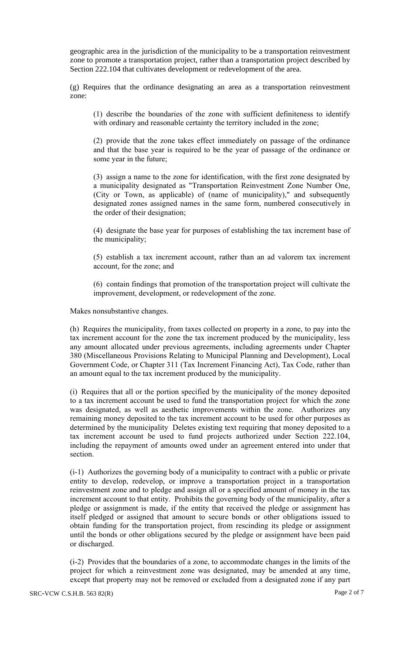geographic area in the jurisdiction of the municipality to be a transportation reinvestment zone to promote a transportation project, rather than a transportation project described by Section 222.104 that cultivates development or redevelopment of the area.

(g) Requires that the ordinance designating an area as a transportation reinvestment zone:

(1) describe the boundaries of the zone with sufficient definiteness to identify with ordinary and reasonable certainty the territory included in the zone;

(2) provide that the zone takes effect immediately on passage of the ordinance and that the base year is required to be the year of passage of the ordinance or some year in the future;

(3) assign a name to the zone for identification, with the first zone designated by a municipality designated as "Transportation Reinvestment Zone Number One, (City or Town, as applicable) of (name of municipality)," and subsequently designated zones assigned names in the same form, numbered consecutively in the order of their designation;

(4) designate the base year for purposes of establishing the tax increment base of the municipality;

(5) establish a tax increment account, rather than an ad valorem tax increment account, for the zone; and

(6) contain findings that promotion of the transportation project will cultivate the improvement, development, or redevelopment of the zone.

Makes nonsubstantive changes.

(h) Requires the municipality, from taxes collected on property in a zone, to pay into the tax increment account for the zone the tax increment produced by the municipality, less any amount allocated under previous agreements, including agreements under Chapter 380 (Miscellaneous Provisions Relating to Municipal Planning and Development), Local Government Code, or Chapter 311 (Tax Increment Financing Act), Tax Code, rather than an amount equal to the tax increment produced by the municipality.

(i) Requires that all or the portion specified by the municipality of the money deposited to a tax increment account be used to fund the transportation project for which the zone was designated, as well as aesthetic improvements within the zone. Authorizes any remaining money deposited to the tax increment account to be used for other purposes as determined by the municipality Deletes existing text requiring that money deposited to a tax increment account be used to fund projects authorized under Section 222.104, including the repayment of amounts owed under an agreement entered into under that section.

(i-1) Authorizes the governing body of a municipality to contract with a public or private entity to develop, redevelop, or improve a transportation project in a transportation reinvestment zone and to pledge and assign all or a specified amount of money in the tax increment account to that entity. Prohibits the governing body of the municipality, after a pledge or assignment is made, if the entity that received the pledge or assignment has itself pledged or assigned that amount to secure bonds or other obligations issued to obtain funding for the transportation project, from rescinding its pledge or assignment until the bonds or other obligations secured by the pledge or assignment have been paid or discharged.

(i-2) Provides that the boundaries of a zone, to accommodate changes in the limits of the project for which a reinvestment zone was designated, may be amended at any time, except that property may not be removed or excluded from a designated zone if any part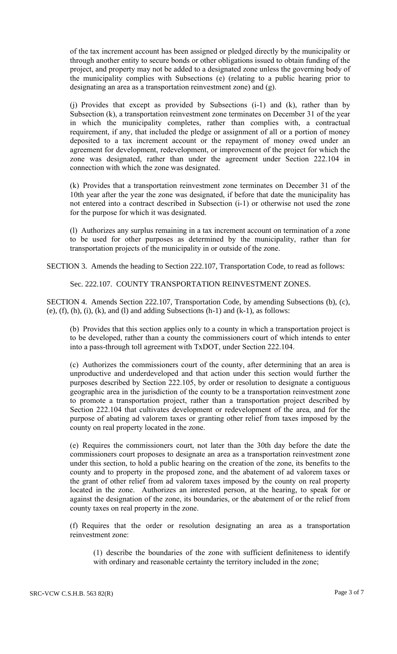of the tax increment account has been assigned or pledged directly by the municipality or through another entity to secure bonds or other obligations issued to obtain funding of the project, and property may not be added to a designated zone unless the governing body of the municipality complies with Subsections (e) (relating to a public hearing prior to designating an area as a transportation reinvestment zone) and (g).

(j) Provides that except as provided by Subsections (i-1) and (k), rather than by Subsection (k), a transportation reinvestment zone terminates on December 31 of the year in which the municipality completes, rather than complies with, a contractual requirement, if any, that included the pledge or assignment of all or a portion of money deposited to a tax increment account or the repayment of money owed under an agreement for development, redevelopment, or improvement of the project for which the zone was designated, rather than under the agreement under Section 222.104 in connection with which the zone was designated.

(k) Provides that a transportation reinvestment zone terminates on December 31 of the 10th year after the year the zone was designated, if before that date the municipality has not entered into a contract described in Subsection (i-1) or otherwise not used the zone for the purpose for which it was designated.

(l) Authorizes any surplus remaining in a tax increment account on termination of a zone to be used for other purposes as determined by the municipality, rather than for transportation projects of the municipality in or outside of the zone.

SECTION 3. Amends the heading to Section 222.107, Transportation Code, to read as follows:

Sec. 222.107. COUNTY TRANSPORTATION REINVESTMENT ZONES.

SECTION 4. Amends Section 222.107, Transportation Code, by amending Subsections (b), (c), (e),  $(f)$ ,  $(h)$ ,  $(i)$ ,  $(k)$ , and  $(l)$  and adding Subsections  $(h-1)$  and  $(k-1)$ , as follows:

(b) Provides that this section applies only to a county in which a transportation project is to be developed, rather than a county the commissioners court of which intends to enter into a pass-through toll agreement with TxDOT, under Section 222.104.

(c) Authorizes the commissioners court of the county, after determining that an area is unproductive and underdeveloped and that action under this section would further the purposes described by Section 222.105, by order or resolution to designate a contiguous geographic area in the jurisdiction of the county to be a transportation reinvestment zone to promote a transportation project, rather than a transportation project described by Section 222.104 that cultivates development or redevelopment of the area, and for the purpose of abating ad valorem taxes or granting other relief from taxes imposed by the county on real property located in the zone.

(e) Requires the commissioners court, not later than the 30th day before the date the commissioners court proposes to designate an area as a transportation reinvestment zone under this section, to hold a public hearing on the creation of the zone, its benefits to the county and to property in the proposed zone, and the abatement of ad valorem taxes or the grant of other relief from ad valorem taxes imposed by the county on real property located in the zone. Authorizes an interested person, at the hearing, to speak for or against the designation of the zone, its boundaries, or the abatement of or the relief from county taxes on real property in the zone.

(f) Requires that the order or resolution designating an area as a transportation reinvestment zone:

(1) describe the boundaries of the zone with sufficient definiteness to identify with ordinary and reasonable certainty the territory included in the zone;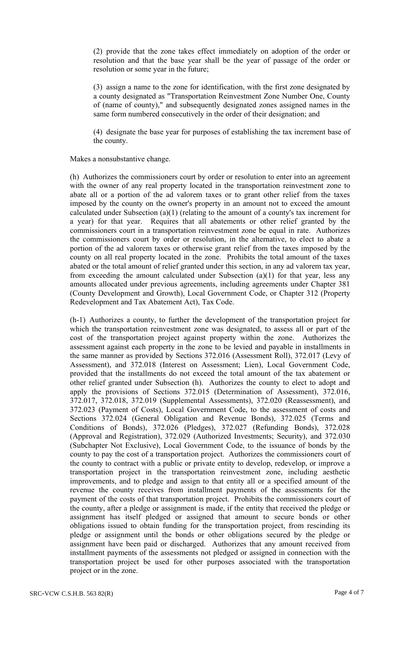(2) provide that the zone takes effect immediately on adoption of the order or resolution and that the base year shall be the year of passage of the order or resolution or some year in the future;

(3) assign a name to the zone for identification, with the first zone designated by a county designated as "Transportation Reinvestment Zone Number One, County of (name of county)," and subsequently designated zones assigned names in the same form numbered consecutively in the order of their designation; and

(4) designate the base year for purposes of establishing the tax increment base of the county.

Makes a nonsubstantive change.

(h) Authorizes the commissioners court by order or resolution to enter into an agreement with the owner of any real property located in the transportation reinvestment zone to abate all or a portion of the ad valorem taxes or to grant other relief from the taxes imposed by the county on the owner's property in an amount not to exceed the amount calculated under Subsection (a)(1) (relating to the amount of a county's tax increment for a year) for that year. Requires that all abatements or other relief granted by the commissioners court in a transportation reinvestment zone be equal in rate. Authorizes the commissioners court by order or resolution, in the alternative, to elect to abate a portion of the ad valorem taxes or otherwise grant relief from the taxes imposed by the county on all real property located in the zone. Prohibits the total amount of the taxes abated or the total amount of relief granted under this section, in any ad valorem tax year, from exceeding the amount calculated under Subsection (a)(1) for that year, less any amounts allocated under previous agreements, including agreements under Chapter 381 (County Development and Growth), Local Government Code, or Chapter 312 (Property Redevelopment and Tax Abatement Act), Tax Code.

(h-1) Authorizes a county, to further the development of the transportation project for which the transportation reinvestment zone was designated, to assess all or part of the cost of the transportation project against property within the zone. Authorizes the assessment against each property in the zone to be levied and payable in installments in the same manner as provided by Sections 372.016 (Assessment Roll), 372.017 (Levy of Assessment), and 372.018 (Interest on Assessment; Lien), Local Government Code, provided that the installments do not exceed the total amount of the tax abatement or other relief granted under Subsection (h). Authorizes the county to elect to adopt and apply the provisions of Sections 372.015 (Determination of Assessment), 372.016, 372.017, 372.018, 372.019 (Supplemental Assessments), 372.020 (Reassessment), and 372.023 (Payment of Costs), Local Government Code, to the assessment of costs and Sections 372.024 (General Obligation and Revenue Bonds), 372.025 (Terms and Conditions of Bonds), 372.026 (Pledges), 372.027 (Refunding Bonds), 372.028 (Approval and Registration), 372.029 (Authorized Investments; Security), and 372.030 (Subchapter Not Exclusive), Local Government Code, to the issuance of bonds by the county to pay the cost of a transportation project. Authorizes the commissioners court of the county to contract with a public or private entity to develop, redevelop, or improve a transportation project in the transportation reinvestment zone, including aesthetic improvements, and to pledge and assign to that entity all or a specified amount of the revenue the county receives from installment payments of the assessments for the payment of the costs of that transportation project. Prohibits the commissioners court of the county, after a pledge or assignment is made, if the entity that received the pledge or assignment has itself pledged or assigned that amount to secure bonds or other obligations issued to obtain funding for the transportation project, from rescinding its pledge or assignment until the bonds or other obligations secured by the pledge or assignment have been paid or discharged. Authorizes that any amount received from installment payments of the assessments not pledged or assigned in connection with the transportation project be used for other purposes associated with the transportation project or in the zone.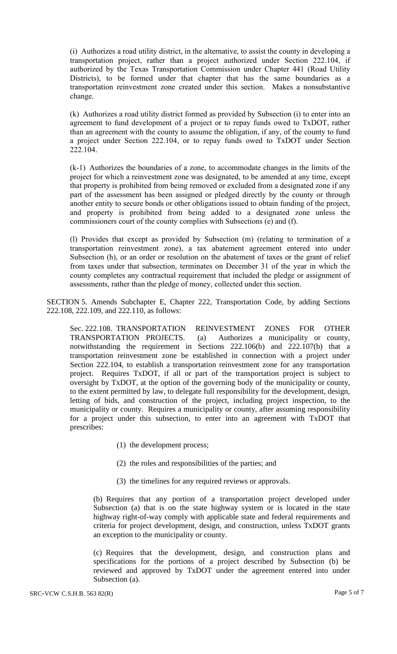(i) Authorizes a road utility district, in the alternative, to assist the county in developing a transportation project, rather than a project authorized under Section 222.104, if authorized by the Texas Transportation Commission under Chapter 441 (Road Utility Districts), to be formed under that chapter that has the same boundaries as a transportation reinvestment zone created under this section. Makes a nonsubstantive change.

(k) Authorizes a road utility district formed as provided by Subsection (i) to enter into an agreement to fund development of a project or to repay funds owed to TxDOT, rather than an agreement with the county to assume the obligation, if any, of the county to fund a project under Section 222.104, or to repay funds owed to TxDOT under Section 222.104.

(k-1) Authorizes the boundaries of a zone, to accommodate changes in the limits of the project for which a reinvestment zone was designated, to be amended at any time, except that property is prohibited from being removed or excluded from a designated zone if any part of the assessment has been assigned or pledged directly by the county or through another entity to secure bonds or other obligations issued to obtain funding of the project, and property is prohibited from being added to a designated zone unless the commissioners court of the county complies with Subsections (e) and (f).

(l) Provides that except as provided by Subsection (m) (relating to termination of a transportation reinvestment zone), a tax abatement agreement entered into under Subsection (h), or an order or resolution on the abatement of taxes or the grant of relief from taxes under that subsection, terminates on December 31 of the year in which the county completes any contractual requirement that included the pledge or assignment of assessments, rather than the pledge of money, collected under this section.

SECTION 5. Amends Subchapter E, Chapter 222, Transportation Code, by adding Sections 222.108, 222.109, and 222.110, as follows:

Sec. 222.108. TRANSPORTATION REINVESTMENT ZONES FOR OTHER TRANSPORTATION PROJECTS. (a) Authorizes a municipality or county, notwithstanding the requirement in Sections 222.106(b) and 222.107(b) that a transportation reinvestment zone be established in connection with a project under Section 222.104, to establish a transportation reinvestment zone for any transportation project. Requires TxDOT, if all or part of the transportation project is subject to oversight by TxDOT, at the option of the governing body of the municipality or county, to the extent permitted by law, to delegate full responsibility for the development, design, letting of bids, and construction of the project, including project inspection, to the municipality or county. Requires a municipality or county, after assuming responsibility for a project under this subsection, to enter into an agreement with TxDOT that prescribes:

- (1) the development process;
- (2) the roles and responsibilities of the parties; and
- (3) the timelines for any required reviews or approvals.

(b) Requires that any portion of a transportation project developed under Subsection (a) that is on the state highway system or is located in the state highway right-of-way comply with applicable state and federal requirements and criteria for project development, design, and construction, unless TxDOT grants an exception to the municipality or county.

(c) Requires that the development, design, and construction plans and specifications for the portions of a project described by Subsection (b) be reviewed and approved by TxDOT under the agreement entered into under Subsection (a).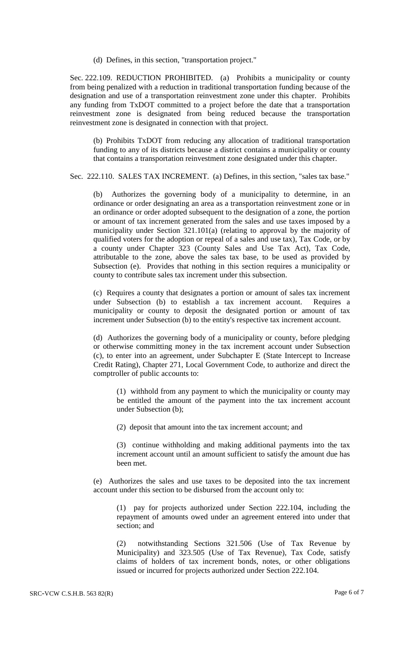(d) Defines, in this section, "transportation project."

Sec. 222.109. REDUCTION PROHIBITED. (a) Prohibits a municipality or county from being penalized with a reduction in traditional transportation funding because of the designation and use of a transportation reinvestment zone under this chapter. Prohibits any funding from TxDOT committed to a project before the date that a transportation reinvestment zone is designated from being reduced because the transportation reinvestment zone is designated in connection with that project.

(b) Prohibits TxDOT from reducing any allocation of traditional transportation funding to any of its districts because a district contains a municipality or county that contains a transportation reinvestment zone designated under this chapter.

Sec. 222.110. SALES TAX INCREMENT. (a) Defines, in this section, "sales tax base."

(b) Authorizes the governing body of a municipality to determine, in an ordinance or order designating an area as a transportation reinvestment zone or in an ordinance or order adopted subsequent to the designation of a zone, the portion or amount of tax increment generated from the sales and use taxes imposed by a municipality under Section 321.101(a) (relating to approval by the majority of qualified voters for the adoption or repeal of a sales and use tax), Tax Code, or by a county under Chapter 323 (County Sales and Use Tax Act), Tax Code, attributable to the zone, above the sales tax base, to be used as provided by Subsection (e). Provides that nothing in this section requires a municipality or county to contribute sales tax increment under this subsection.

(c) Requires a county that designates a portion or amount of sales tax increment under Subsection (b) to establish a tax increment account. Requires a municipality or county to deposit the designated portion or amount of tax increment under Subsection (b) to the entity's respective tax increment account.

(d) Authorizes the governing body of a municipality or county, before pledging or otherwise committing money in the tax increment account under Subsection (c), to enter into an agreement, under Subchapter E (State Intercept to Increase Credit Rating), Chapter 271, Local Government Code, to authorize and direct the comptroller of public accounts to:

(1) withhold from any payment to which the municipality or county may be entitled the amount of the payment into the tax increment account under Subsection (b);

(2) deposit that amount into the tax increment account; and

(3) continue withholding and making additional payments into the tax increment account until an amount sufficient to satisfy the amount due has been met.

(e) Authorizes the sales and use taxes to be deposited into the tax increment account under this section to be disbursed from the account only to:

(1) pay for projects authorized under Section 222.104, including the repayment of amounts owed under an agreement entered into under that section; and

(2) notwithstanding Sections 321.506 (Use of Tax Revenue by Municipality) and 323.505 (Use of Tax Revenue), Tax Code, satisfy claims of holders of tax increment bonds, notes, or other obligations issued or incurred for projects authorized under Section 222.104.